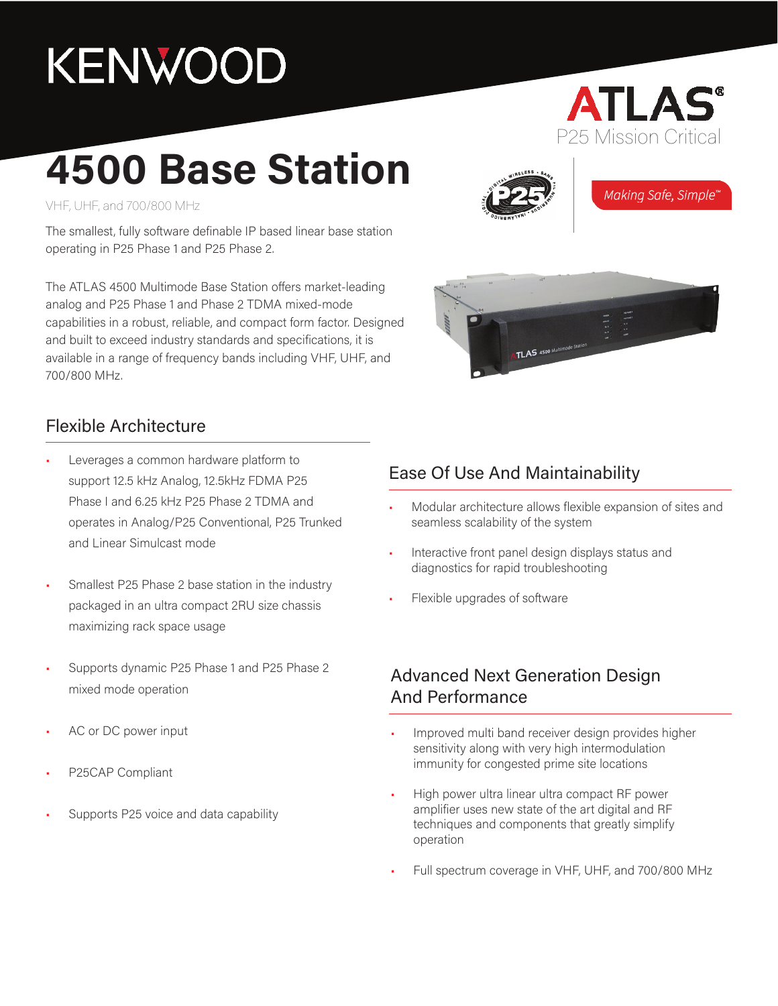# KENWOOD

## **4500 Base Station**

VHF, UHF, and 700/800 MHz

The smallest, fully software definable IP based linear base station operating in P25 Phase 1 and P25 Phase 2.

The ATLAS 4500 Multimode Base Station offers market-leading analog and P25 Phase 1 and Phase 2 TDMA mixed-mode capabilities in a robust, reliable, and compact form factor. Designed and built to exceed industry standards and specifications, it is available in a range of frequency bands including VHF, UHF, and 700/800 MHz.



Making Safe, Simple

P25 Mission Critical

**ATLAS** 



#### Flexible Architecture

- Leverages a common hardware platform to support 12.5 kHz Analog, 12.5kHz FDMA P25 Phase I and 6.25 kHz P25 Phase 2 TDMA and operates in Analog/P25 Conventional, P25 Trunked and Linear Simulcast mode
- Smallest P25 Phase 2 base station in the industry packaged in an ultra compact 2RU size chassis maximizing rack space usage
- Supports dynamic P25 Phase 1 and P25 Phase 2 mixed mode operation
- AC or DC power input
- P25CAP Compliant
- Supports P25 voice and data capability

### Ease Of Use And Maintainability

- Modular architecture allows flexible expansion of sites and seamless scalability of the system
- Interactive front panel design displays status and diagnostics for rapid troubleshooting
- Flexible upgrades of software

#### Advanced Next Generation Design And Performance

- Improved multi band receiver design provides higher sensitivity along with very high intermodulation immunity for congested prime site locations
- High power ultra linear ultra compact RF power amplifier uses new state of the art digital and RF techniques and components that greatly simplify operation
- Full spectrum coverage in VHF, UHF, and 700/800 MHz